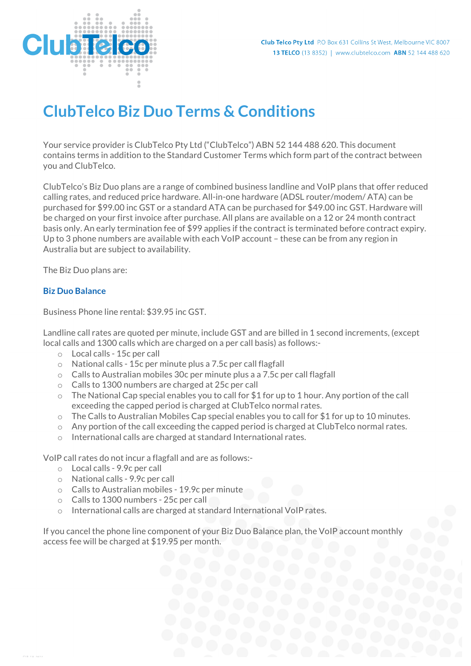

# **ClubTelco Biz Duo Terms & Conditions**

Your service provider is ClubTelco Pty Ltd ("ClubTelco") ABN 52 144 488 620. This document contains terms in addition to the Standard Customer Terms which form part of the contract between you and ClubTelco.

ClubTelco's Biz Duo plans are a range of combined business landline and VoIP plans that offer reduced calling rates, and reduced price hardware. All-in-one hardware (ADSL router/modem/ ATA) can be purchased for \$99.00 inc GST or a standard ATA can be purchased for \$49.00 inc GST. Hardware will be charged on your first invoice after purchase. All plans are available on a 12 or 24 month contract basis only. An early termination fee of \$99 applies if the contract is terminated before contract expiry. Up to 3 phone numbers are available with each VoIP account – these can be from any region in Australia but are subject to availability.

The Biz Duo plans are:

## **Biz Duo Balance**

Business Phone line rental: \$39.95 inc GST.

Landline call rates are quoted per minute, include GST and are billed in 1 second increments, (except local calls and 1300 calls which are charged on a per call basis) as follows:-

- o Local calls 15c per call
- o National calls 15c per minute plus a 7.5c per call flagfall
- $\circ$  Calls to Australian mobiles 30c per minute plus a a 7.5c per call flagfall
- o Calls to 1300 numbers are charged at 25c per call
- $\circ$  The National Cap special enables you to call for \$1 for up to 1 hour. Any portion of the call exceeding the capped period is charged at ClubTelco normal rates.
- o The Calls to Australian Mobiles Cap special enables you to call for \$1 for up to 10 minutes.
- $\circ$  Any portion of the call exceeding the capped period is charged at ClubTelco normal rates.
- o International calls are charged at standard International rates.

VoIP call rates do not incur a flagfall and are as follows:-

- o Local calls 9.9c per call
- o National calls 9.9c per call
- o Calls to Australian mobiles 19.9c per minute
- o Calls to 1300 numbers 25c per call
- o International calls are charged at standard International VoIP rates.

If you cancel the phone line component of your Biz Duo Balance plan, the VoIP account monthly access fee will be charged at \$19.95 per month.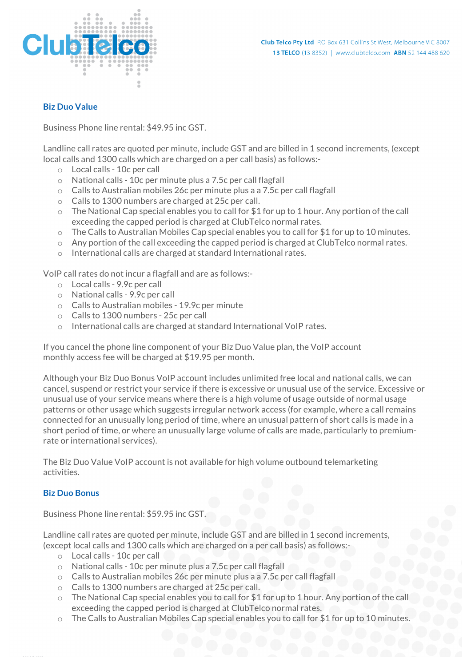

# **Biz Duo Value**

Business Phone line rental: \$49.95 inc GST.

Landline call rates are quoted per minute, include GST and are billed in 1 second increments, (except local calls and 1300 calls which are charged on a per call basis) as follows:-

- o Local calls 10c per call
- o National calls 10c per minute plus a 7.5c per call flagfall
- $\circ$  Calls to Australian mobiles 26c per minute plus a a 7.5c per call flagfall
- o Calls to 1300 numbers are charged at 25c per call.
- o The National Cap special enables you to call for \$1 for up to 1 hour. Any portion of the call exceeding the capped period is charged at ClubTelco normal rates.
- $\circ$  The Calls to Australian Mobiles Cap special enables you to call for \$1 for up to 10 minutes.
- $\circ$  Any portion of the call exceeding the capped period is charged at ClubTelco normal rates.
- o International calls are charged at standard International rates.

VoIP call rates do not incur a flagfall and are as follows:-

- o Local calls 9.9c per call
- o National calls 9.9c per call
- o Calls to Australian mobiles 19.9c per minute
- o Calls to 1300 numbers 25c per call
- o International calls are charged at standard International VoIP rates.

If you cancel the phone line component of your Biz Duo Value plan, the VoIP account monthly access fee will be charged at \$19.95 per month.

Although your Biz Duo Bonus VoIP account includes unlimited free local and national calls, we can cancel, suspend or restrict your service if there is excessive or unusual use of the service. Excessive or unusual use of your service means where there is a high volume of usage outside of normal usage patterns or other usage which suggests irregular network access (for example, where a call remains connected for an unusually long period of time, where an unusual pattern of short calls is made in a short period of time, or where an unusually large volume of calls are made, particularly to premiumrate or international services).

The Biz Duo Value VoIP account is not available for high volume outbound telemarketing activities.

## **Biz Duo Bonus**

Business Phone line rental: \$59.95 inc GST.

Landline call rates are quoted per minute, include GST and are billed in 1 second increments, (except local calls and 1300 calls which are charged on a per call basis) as follows:-

- o Local calls 10c per call
- o National calls 10c per minute plus a 7.5c per call flagfall
- o Calls to Australian mobiles 26c per minute plus a a 7.5c per call flagfall
- o Calls to 1300 numbers are charged at 25c per call.
- o The National Cap special enables you to call for \$1 for up to 1 hour. Any portion of the call exceeding the capped period is charged at ClubTelco normal rates.
- $\circ$  The Calls to Australian Mobiles Cap special enables you to call for \$1 for up to 10 minutes.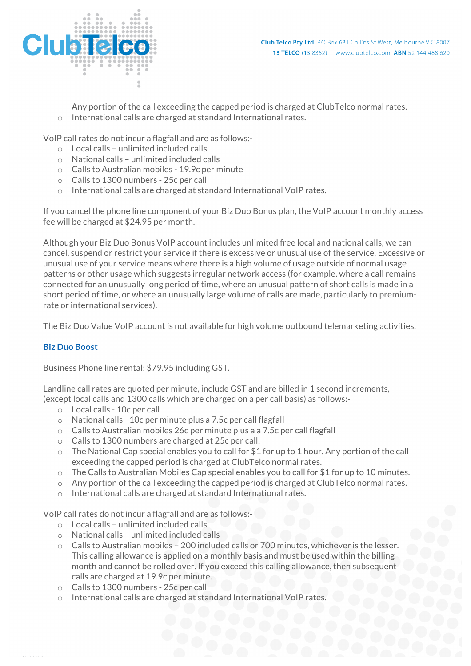

Any portion of the call exceeding the capped period is charged at ClubTelco normal rates.

o International calls are charged at standard International rates.

VoIP call rates do not incur a flagfall and are as follows:-

- o Local calls unlimited included calls
- o National calls unlimited included calls
- o Calls to Australian mobiles 19.9c per minute
- o Calls to 1300 numbers 25c per call
- o International calls are charged at standard International VoIP rates.

If you cancel the phone line component of your Biz Duo Bonus plan, the VoIP account monthly access fee will be charged at \$24.95 per month.

Although your Biz Duo Bonus VoIP account includes unlimited free local and national calls, we can cancel, suspend or restrict your service if there is excessive or unusual use of the service. Excessive or unusual use of your service means where there is a high volume of usage outside of normal usage patterns or other usage which suggests irregular network access (for example, where a call remains connected for an unusually long period of time, where an unusual pattern of short calls is made in a short period of time, or where an unusually large volume of calls are made, particularly to premiumrate or international services).

The Biz Duo Value VoIP account is not available for high volume outbound telemarketing activities.

# **Biz Duo Boost**

Business Phone line rental: \$79.95 including GST.

Landline call rates are quoted per minute, include GST and are billed in 1 second increments, (except local calls and 1300 calls which are charged on a per call basis) as follows:-

- o Local calls 10c per call
- o National calls 10c per minute plus a 7.5c per call flagfall
- $\circ$  Calls to Australian mobiles 26c per minute plus a a 7.5c per call flagfall
- o Calls to 1300 numbers are charged at 25c per call.
- $\circ$  The National Cap special enables you to call for \$1 for up to 1 hour. Any portion of the call exceeding the capped period is charged at ClubTelco normal rates.
- $\circ$  The Calls to Australian Mobiles Cap special enables you to call for \$1 for up to 10 minutes.
- $\circ$  Any portion of the call exceeding the capped period is charged at ClubTelco normal rates.
- o International calls are charged at standard International rates.

VoIP call rates do not incur a flagfall and are as follows:-

- o Local calls unlimited included calls
- o National calls unlimited included calls
- o Calls to Australian mobiles 200 included calls or 700 minutes, whichever is the lesser. This calling allowance is applied on a monthly basis and must be used within the billing month and cannot be rolled over. If you exceed this calling allowance, then subsequent calls are charged at 19.9c per minute.
- o Calls to 1300 numbers 25c per call
- o International calls are charged at standard International VoIP rates.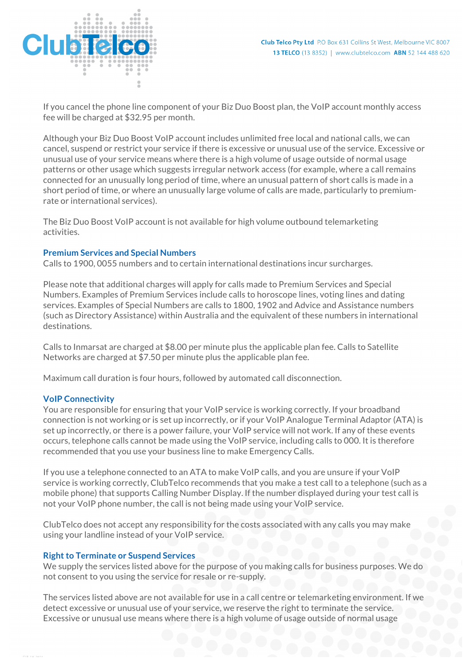

If you cancel the phone line component of your Biz Duo Boost plan, the VoIP account monthly access fee will be charged at \$32.95 per month.

Although your Biz Duo Boost VoIP account includes unlimited free local and national calls, we can cancel, suspend or restrict your service if there is excessive or unusual use of the service. Excessive or unusual use of your service means where there is a high volume of usage outside of normal usage patterns or other usage which suggests irregular network access (for example, where a call remains connected for an unusually long period of time, where an unusual pattern of short calls is made in a short period of time, or where an unusually large volume of calls are made, particularly to premiumrate or international services).

The Biz Duo Boost VoIP account is not available for high volume outbound telemarketing activities.

#### **Premium Services and Special Numbers**

Calls to 1900, 0055 numbers and to certain international destinations incur surcharges.

Please note that additional charges will apply for calls made to Premium Services and Special Numbers. Examples of Premium Services include calls to horoscope lines, voting lines and dating services. Examples of Special Numbers are calls to 1800, 1902 and Advice and Assistance numbers (such as Directory Assistance) within Australia and the equivalent of these numbers in international destinations.

Calls to Inmarsat are charged at \$8.00 per minute plus the applicable plan fee. Calls to Satellite Networks are charged at \$7.50 per minute plus the applicable plan fee.

Maximum call duration is four hours, followed by automated call disconnection.

#### **VoIP Connectivity**

You are responsible for ensuring that your VoIP service is working correctly. If your broadband connection is not working or is set up incorrectly, or if your VoIP Analogue Terminal Adaptor (ATA) is set up incorrectly, or there is a power failure, your VoIP service will not work. If any of these events occurs, telephone calls cannot be made using the VoIP service, including calls to 000. It is therefore recommended that you use your business line to make Emergency Calls.

If you use a telephone connected to an ATA to make VoIP calls, and you are unsure if your VoIP service is working correctly, ClubTelco recommends that you make a test call to a telephone (such as a mobile phone) that supports Calling Number Display. If the number displayed during your test call is not your VoIP phone number, the call is not being made using your VoIP service.

ClubTelco does not accept any responsibility for the costs associated with any calls you may make using your landline instead of your VoIP service.

#### **Right to Terminate or Suspend Services**

We supply the services listed above for the purpose of you making calls for business purposes. We do not consent to you using the service for resale or re-supply.

The services listed above are not available for use in a call centre or telemarketing environment. If we detect excessive or unusual use of your service, we reserve the right to terminate the service. Excessive or unusual use means where there is a high volume of usage outside of normal usage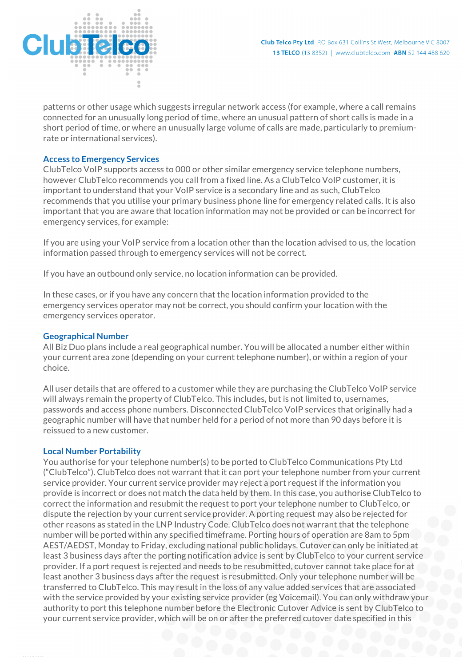patterns or other usage which suggests irregular network access (for example, where a call remains connected for an unusually long period of time, where an unusual pattern of short calls is made in a short period of time, or where an unusually large volume of calls are made, particularly to premiumrate or international services).

# **Access to Emergency Services**

ClubTelco VoIP supports access to 000 or other similar emergency service telephone numbers, however ClubTelco recommends you call from a fixed line. As a ClubTelco VoIP customer, it is important to understand that your VoIP service is a secondary line and as such, ClubTelco recommends that you utilise your primary business phone line for emergency related calls. It is also important that you are aware that location information may not be provided or can be incorrect for emergency services, for example:

If you are using your VoIP service from a location other than the location advised to us, the location information passed through to emergency services will not be correct.

If you have an outbound only service, no location information can be provided.

In these cases, or if you have any concern that the location information provided to the emergency services operator may not be correct, you should confirm your location with the emergency services operator.

# **Geographical Number**

All Biz Duo plans include a real geographical number. You will be allocated a number either within your current area zone (depending on your current telephone number), or within a region of your choice.

All user details that are offered to a customer while they are purchasing the ClubTelco VoIP service will always remain the property of ClubTelco. This includes, but is not limited to, usernames, passwords and access phone numbers. Disconnected ClubTelco VoIP services that originally had a geographic number will have that number held for a period of not more than 90 days before it is reissued to a new customer.

## **Local Number Portability**

You authorise for your telephone number(s) to be ported to ClubTelco Communications Pty Ltd ("ClubTelco"). ClubTelco does not warrant that it can port your telephone number from your current service provider. Your current service provider may reject a port request if the information you provide is incorrect or does not match the data held by them. In this case, you authorise ClubTelco to correct the information and resubmit the request to port your telephone number to ClubTelco, or dispute the rejection by your current service provider. A porting request may also be rejected for other reasons as stated in the LNP Industry Code. ClubTelco does not warrant that the telephone number will be ported within any specified timeframe. Porting hours of operation are 8am to 5pm AEST/AEDST, Monday to Friday, excluding national public holidays. Cutover can only be initiated at least 3 business days after the porting notification advice is sent by ClubTelco to your current service provider. If a port request is rejected and needs to be resubmitted, cutover cannot take place for at least another 3 business days after the request is resubmitted. Only your telephone number will be transferred to ClubTelco. This may result in the loss of any value added services that are associated with the service provided by your existing service provider (eg Voicemail). You can only withdraw your authority to port this telephone number before the Electronic Cutover Advice is sent by ClubTelco to your current service provider, which will be on or after the preferred cutover date specified in this